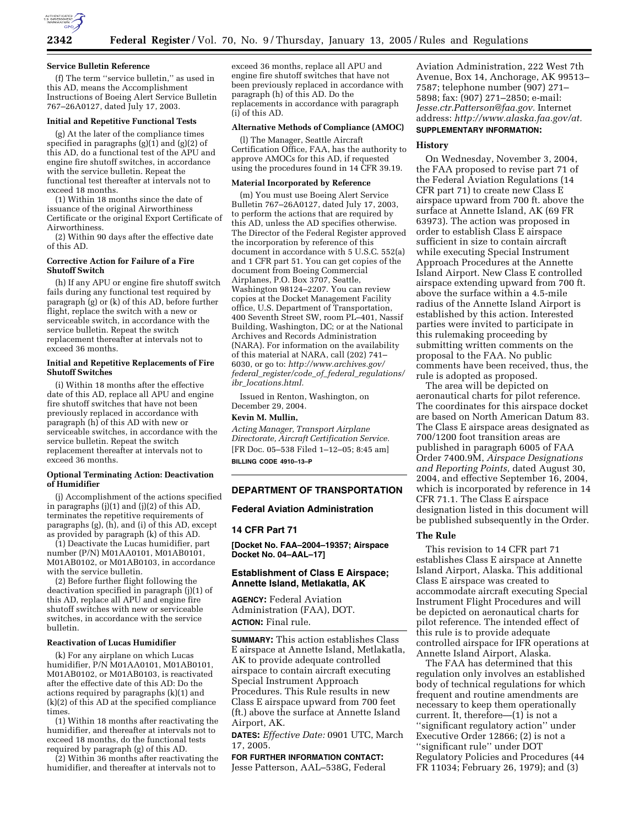

#### **Service Bulletin Reference**

(f) The term ''service bulletin,'' as used in this AD, means the Accomplishment Instructions of Boeing Alert Service Bulletin 767–26A0127, dated July 17, 2003.

### **Initial and Repetitive Functional Tests**

(g) At the later of the compliance times specified in paragraphs  $(g)(1)$  and  $(g)(2)$  of this AD, do a functional test of the APU and engine fire shutoff switches, in accordance with the service bulletin. Repeat the functional test thereafter at intervals not to exceed 18 months.

(1) Within 18 months since the date of issuance of the original Airworthiness Certificate or the original Export Certificate of Airworthiness.

(2) Within 90 days after the effective date of this AD.

#### **Corrective Action for Failure of a Fire Shutoff Switch**

(h) If any APU or engine fire shutoff switch fails during any functional test required by paragraph (g) or (k) of this AD, before further flight, replace the switch with a new or serviceable switch, in accordance with the service bulletin. Repeat the switch replacement thereafter at intervals not to exceed 36 months.

#### **Initial and Repetitive Replacements of Fire Shutoff Switches**

(i) Within 18 months after the effective date of this AD, replace all APU and engine fire shutoff switches that have not been previously replaced in accordance with paragraph (h) of this AD with new or serviceable switches, in accordance with the service bulletin. Repeat the switch replacement thereafter at intervals not to exceed 36 months.

#### **Optional Terminating Action: Deactivation of Humidifier**

(j) Accomplishment of the actions specified in paragraphs (j)(1) and (j)(2) of this AD, terminates the repetitive requirements of paragraphs (g), (h), and (i) of this AD, except as provided by paragraph (k) of this AD.

(1) Deactivate the Lucas humidifier, part number (P/N) M01AA0101, M01AB0101, M01AB0102, or M01AB0103, in accordance with the service bulletin.

(2) Before further flight following the deactivation specified in paragraph (j)(1) of this AD, replace all APU and engine fire shutoff switches with new or serviceable switches, in accordance with the service bulletin.

#### **Reactivation of Lucas Humidifier**

(k) For any airplane on which Lucas humidifier, P/N M01AA0101, M01AB0101, M01AB0102, or M01AB0103, is reactivated after the effective date of this AD: Do the actions required by paragraphs (k)(1) and (k)(2) of this AD at the specified compliance times.

(1) Within 18 months after reactivating the humidifier, and thereafter at intervals not to exceed 18 months, do the functional tests required by paragraph (g) of this AD.

(2) Within 36 months after reactivating the humidifier, and thereafter at intervals not to

exceed 36 months, replace all APU and engine fire shutoff switches that have not been previously replaced in accordance with paragraph (h) of this AD. Do the replacements in accordance with paragraph (i) of this AD.

#### **Alternative Methods of Compliance (AMOC)**

(l) The Manager, Seattle Aircraft Certification Office, FAA, has the authority to approve AMOCs for this AD, if requested using the procedures found in 14 CFR 39.19.

### **Material Incorporated by Reference**

(m) You must use Boeing Alert Service Bulletin 767–26A0127, dated July 17, 2003, to perform the actions that are required by this AD, unless the AD specifies otherwise. The Director of the Federal Register approved the incorporation by reference of this document in accordance with 5 U.S.C. 552(a) and 1 CFR part 51. You can get copies of the document from Boeing Commercial Airplanes, P.O. Box 3707, Seattle, Washington 98124–2207. You can review copies at the Docket Management Facility office, U.S. Department of Transportation, 400 Seventh Street SW, room PL–401, Nassif Building, Washington, DC; or at the National Archives and Records Administration (NARA). For information on the availability of this material at NARA, call (202) 741– 6030, or go to: *http://www.archives.gov/ federal*\_*register/code*\_*of*\_*federal*\_*regulations/ ibr*\_*locations.html.*

Issued in Renton, Washington, on December 29, 2004.

# **Kevin M. Mullin,**

*Acting Manager, Transport Airplane Directorate, Aircraft Certification Service.* [FR Doc. 05–538 Filed 1–12–05; 8:45 am] **BILLING CODE 4910–13–P**

#### **DEPARTMENT OF TRANSPORTATION**

#### **Federal Aviation Administration**

# **14 CFR Part 71**

**[Docket No. FAA–2004–19357; Airspace Docket No. 04–AAL–17]** 

# **Establishment of Class E Airspace; Annette Island, Metlakatla, AK**

**AGENCY:** Federal Aviation Administration (FAA), DOT. **ACTION:** Final rule.

**SUMMARY:** This action establishes Class E airspace at Annette Island, Metlakatla, AK to provide adequate controlled airspace to contain aircraft executing Special Instrument Approach Procedures. This Rule results in new Class E airspace upward from 700 feet (ft.) above the surface at Annette Island Airport, AK.

**DATES:** *Effective Date:* 0901 UTC, March 17, 2005.

**FOR FURTHER INFORMATION CONTACT:** Jesse Patterson, AAL–538G, Federal Aviation Administration, 222 West 7th Avenue, Box 14, Anchorage, AK 99513– 7587; telephone number (907) 271– 5898; fax: (907) 271–2850; e-mail: *Jesse.ctr.Patterson@faa.gov.* Internet address: *http://www.alaska.faa.gov/at.*

# **SUPPLEMENTARY INFORMATION:**

#### **History**

On Wednesday, November 3, 2004, the FAA proposed to revise part 71 of the Federal Aviation Regulations (14 CFR part 71) to create new Class E airspace upward from 700 ft. above the surface at Annette Island, AK (69 FR 63973). The action was proposed in order to establish Class E airspace sufficient in size to contain aircraft while executing Special Instrument Approach Procedures at the Annette Island Airport. New Class E controlled airspace extending upward from 700 ft. above the surface within a 4.5-mile radius of the Annette Island Airport is established by this action. Interested parties were invited to participate in this rulemaking proceeding by submitting written comments on the proposal to the FAA. No public comments have been received, thus, the rule is adopted as proposed.

The area will be depicted on aeronautical charts for pilot reference. The coordinates for this airspace docket are based on North American Datum 83. The Class E airspace areas designated as 700/1200 foot transition areas are published in paragraph 6005 of FAA Order 7400.9M, *Airspace Designations and Reporting Points,* dated August 30, 2004, and effective September 16, 2004, which is incorporated by reference in 14 CFR 71.1. The Class E airspace designation listed in this document will be published subsequently in the Order.

#### **The Rule**

This revision to 14 CFR part 71 establishes Class E airspace at Annette Island Airport, Alaska. This additional Class E airspace was created to accommodate aircraft executing Special Instrument Flight Procedures and will be depicted on aeronautical charts for pilot reference. The intended effect of this rule is to provide adequate controlled airspace for IFR operations at Annette Island Airport, Alaska.

The FAA has determined that this regulation only involves an established body of technical regulations for which frequent and routine amendments are necessary to keep them operationally current. It, therefore—(1) is not a ''significant regulatory action'' under Executive Order 12866; (2) is not a ''significant rule'' under DOT Regulatory Policies and Procedures (44 FR 11034; February 26, 1979); and (3)